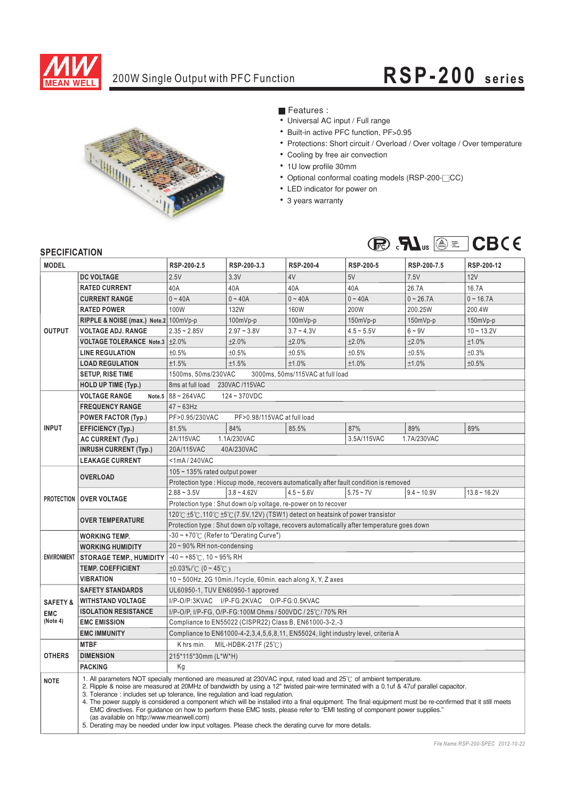

## 200W Single Output with PFC Function **RSP-20 0 s eries**



■ Features :

- Universal AC input / Full range
- Built-in active PFC function, PF>0.95
- Protections: Short circuit / Overload / Over voltage / Over temperature
- Cooling by free air convection
- 1U low profile 30mm
- Optional conformal coating models (RSP-200-<sup>CC</sup>)
- ¡E¡E¡E¡E¡E¡E¡E¡E LED indicator for power on
- 3 years warranty



### **SPECIFICATION**

| <b>JELUIFIUAI IUN</b><br><b>MODEL</b>                                                      |                                                                                                                                                                                                                                                                                                                                                                                                                                                                                                                                                                                                                                                                                                                                                                                                    | RSP-200-2.5                                                                                 | RSP-200-3.3   | <b>RSP-200-4</b> | RSP-200-5                                                                             | RSP-200-7.5   | RSP-200-12     |  |  |  |
|--------------------------------------------------------------------------------------------|----------------------------------------------------------------------------------------------------------------------------------------------------------------------------------------------------------------------------------------------------------------------------------------------------------------------------------------------------------------------------------------------------------------------------------------------------------------------------------------------------------------------------------------------------------------------------------------------------------------------------------------------------------------------------------------------------------------------------------------------------------------------------------------------------|---------------------------------------------------------------------------------------------|---------------|------------------|---------------------------------------------------------------------------------------|---------------|----------------|--|--|--|
|                                                                                            | <b>DC VOLTAGE</b>                                                                                                                                                                                                                                                                                                                                                                                                                                                                                                                                                                                                                                                                                                                                                                                  | 2.5V                                                                                        | 3.3V          | 4V               | 5V                                                                                    | 7.5V          | 12V            |  |  |  |
| <b>OUTPUT</b>                                                                              | <b>RATED CURRENT</b>                                                                                                                                                                                                                                                                                                                                                                                                                                                                                                                                                                                                                                                                                                                                                                               | 40A                                                                                         | 40A           | 40A              | 40A                                                                                   | 26.7A         | 16.7A          |  |  |  |
|                                                                                            | <b>CURRENT RANGE</b>                                                                                                                                                                                                                                                                                                                                                                                                                                                                                                                                                                                                                                                                                                                                                                               | $0 - 40A$                                                                                   | $0 - 40A$     | $0 - 40A$        | $0 - 40A$                                                                             | $0 - 26.7A$   | $0 - 16.7A$    |  |  |  |
|                                                                                            | <b>RATED POWER</b>                                                                                                                                                                                                                                                                                                                                                                                                                                                                                                                                                                                                                                                                                                                                                                                 | 100W                                                                                        | <b>132W</b>   | 160W             | 200W                                                                                  | 200.25W       | 200.4W         |  |  |  |
|                                                                                            | RIPPLE & NOISE (max.) Note.2 100mVp-p                                                                                                                                                                                                                                                                                                                                                                                                                                                                                                                                                                                                                                                                                                                                                              |                                                                                             | $100mVp-p$    | 100mVp-p         | 150mVp-p                                                                              | 150mVp-p      | $150mVp-p$     |  |  |  |
|                                                                                            | <b>VOLTAGE ADJ. RANGE</b>                                                                                                                                                                                                                                                                                                                                                                                                                                                                                                                                                                                                                                                                                                                                                                          | $2.35 - 2.85V$                                                                              | $2.97 - 3.8V$ | $3.7 - 4.3V$     | $4.5 - 5.5V$                                                                          | $6 - 9V$      | $10 - 13.2V$   |  |  |  |
|                                                                                            | VOLTAGE TOLERANCE Note.3 ±2.0%                                                                                                                                                                                                                                                                                                                                                                                                                                                                                                                                                                                                                                                                                                                                                                     |                                                                                             | ±2.0%         | ±2.0%            | ±2.0%                                                                                 | ±2.0%         | ±1.0%          |  |  |  |
|                                                                                            | <b>LINE REGULATION</b>                                                                                                                                                                                                                                                                                                                                                                                                                                                                                                                                                                                                                                                                                                                                                                             | ±0.5%                                                                                       | ±0.5%         | ±0.5%            | ±0.5%                                                                                 | ±0.5%         | ±0.3%          |  |  |  |
|                                                                                            | <b>LOAD REGULATION</b>                                                                                                                                                                                                                                                                                                                                                                                                                                                                                                                                                                                                                                                                                                                                                                             | ±1.5%                                                                                       | ±1.5%         | ±1.0%            | ±1.0%                                                                                 | ±1.0%         | ±0.5%          |  |  |  |
|                                                                                            | <b>SETUP, RISE TIME</b>                                                                                                                                                                                                                                                                                                                                                                                                                                                                                                                                                                                                                                                                                                                                                                            | 1500ms, 50ms/230VAC<br>3000ms, 50ms/115VAC at full load                                     |               |                  |                                                                                       |               |                |  |  |  |
|                                                                                            | <b>HOLD UP TIME (Typ.)</b>                                                                                                                                                                                                                                                                                                                                                                                                                                                                                                                                                                                                                                                                                                                                                                         | 8ms at full load 230VAC /115VAC                                                             |               |                  |                                                                                       |               |                |  |  |  |
|                                                                                            | <b>VOLTAGE RANGE</b>                                                                                                                                                                                                                                                                                                                                                                                                                                                                                                                                                                                                                                                                                                                                                                               | Note.5 $88 - 264$ VAC<br>$124 - 370VDC$                                                     |               |                  |                                                                                       |               |                |  |  |  |
|                                                                                            | <b>FREQUENCY RANGE</b>                                                                                                                                                                                                                                                                                                                                                                                                                                                                                                                                                                                                                                                                                                                                                                             | $47 \sim 63$ Hz                                                                             |               |                  |                                                                                       |               |                |  |  |  |
| <b>INPUT</b>                                                                               | <b>POWER FACTOR (Typ.)</b>                                                                                                                                                                                                                                                                                                                                                                                                                                                                                                                                                                                                                                                                                                                                                                         | PF>0.95/230VAC<br>PF>0.98/115VAC at full load                                               |               |                  |                                                                                       |               |                |  |  |  |
|                                                                                            | <b>EFFICIENCY (Typ.)</b>                                                                                                                                                                                                                                                                                                                                                                                                                                                                                                                                                                                                                                                                                                                                                                           | 81.5%                                                                                       | 84%           | 85.5%            | 87%                                                                                   | 89%           | 89%            |  |  |  |
|                                                                                            | AC CURRENT (Typ.)                                                                                                                                                                                                                                                                                                                                                                                                                                                                                                                                                                                                                                                                                                                                                                                  | 2A/115VAC                                                                                   | 1.1A/230VAC   |                  | 3.5A/115VAC                                                                           | 1.7A/230VAC   |                |  |  |  |
|                                                                                            | <b>INRUSH CURRENT (Typ.)</b>                                                                                                                                                                                                                                                                                                                                                                                                                                                                                                                                                                                                                                                                                                                                                                       | 20A/115VAC<br>40A/230VAC                                                                    |               |                  |                                                                                       |               |                |  |  |  |
|                                                                                            | <b>LEAKAGE CURRENT</b>                                                                                                                                                                                                                                                                                                                                                                                                                                                                                                                                                                                                                                                                                                                                                                             | <1mA/240VAC                                                                                 |               |                  |                                                                                       |               |                |  |  |  |
|                                                                                            | <b>OVERLOAD</b>                                                                                                                                                                                                                                                                                                                                                                                                                                                                                                                                                                                                                                                                                                                                                                                    | 105 $\sim$ 135% rated output power                                                          |               |                  |                                                                                       |               |                |  |  |  |
|                                                                                            |                                                                                                                                                                                                                                                                                                                                                                                                                                                                                                                                                                                                                                                                                                                                                                                                    |                                                                                             |               |                  | Protection type: Hiccup mode, recovers automatically after fault condition is removed |               |                |  |  |  |
|                                                                                            | <b>PROTECTION OVER VOLTAGE</b>                                                                                                                                                                                                                                                                                                                                                                                                                                                                                                                                                                                                                                                                                                                                                                     | $2.88 - 3.5V$                                                                               | $3.8 - 4.62V$ | $4.5 - 5.6V$     | $5.75 - 7V$                                                                           | $9.4 - 10.9V$ | $13.8 - 16.2V$ |  |  |  |
|                                                                                            |                                                                                                                                                                                                                                                                                                                                                                                                                                                                                                                                                                                                                                                                                                                                                                                                    | Protection type: Shut down o/p voltage, re-power on to recover                              |               |                  |                                                                                       |               |                |  |  |  |
|                                                                                            | <b>OVER TEMPERATURE</b>                                                                                                                                                                                                                                                                                                                                                                                                                                                                                                                                                                                                                                                                                                                                                                            | 120℃ ±5℃,110℃ ±5℃ (7.5V,12V) (TSW1) detect on heatsink of power transistor                  |               |                  |                                                                                       |               |                |  |  |  |
|                                                                                            |                                                                                                                                                                                                                                                                                                                                                                                                                                                                                                                                                                                                                                                                                                                                                                                                    | Protection type : Shut down o/p voltage, recovers automatically after temperature goes down |               |                  |                                                                                       |               |                |  |  |  |
|                                                                                            | <b>WORKING TEMP.</b>                                                                                                                                                                                                                                                                                                                                                                                                                                                                                                                                                                                                                                                                                                                                                                               | -30 ~ +70°C (Refer to "Derating Curve")                                                     |               |                  |                                                                                       |               |                |  |  |  |
| <b>ENVIRONMENT</b>                                                                         | <b>WORKING HUMIDITY</b>                                                                                                                                                                                                                                                                                                                                                                                                                                                                                                                                                                                                                                                                                                                                                                            | 20~90% RH non-condensing                                                                    |               |                  |                                                                                       |               |                |  |  |  |
|                                                                                            | <b>STORAGE TEMP., HUMIDITY</b>                                                                                                                                                                                                                                                                                                                                                                                                                                                                                                                                                                                                                                                                                                                                                                     | $-40$ ~ +85°C, 10 ~ 95% RH                                                                  |               |                  |                                                                                       |               |                |  |  |  |
|                                                                                            | <b>TEMP. COEFFICIENT</b>                                                                                                                                                                                                                                                                                                                                                                                                                                                                                                                                                                                                                                                                                                                                                                           | $\pm 0.03\%$ / $\degree$ (0 ~ 45 $\degree$ C)                                               |               |                  |                                                                                       |               |                |  |  |  |
|                                                                                            | <b>VIBRATION</b>                                                                                                                                                                                                                                                                                                                                                                                                                                                                                                                                                                                                                                                                                                                                                                                   | 10~500Hz, 2G 10min./1cycle, 60min. each along X, Y, Z axes                                  |               |                  |                                                                                       |               |                |  |  |  |
|                                                                                            | <b>SAFETY STANDARDS</b>                                                                                                                                                                                                                                                                                                                                                                                                                                                                                                                                                                                                                                                                                                                                                                            | UL60950-1, TUV EN60950-1 approved                                                           |               |                  |                                                                                       |               |                |  |  |  |
| <b>SAFETY &amp;</b>                                                                        | <b>WITHSTAND VOLTAGE</b>                                                                                                                                                                                                                                                                                                                                                                                                                                                                                                                                                                                                                                                                                                                                                                           | I/P-O/P:3KVAC I/P-FG:2KVAC O/P-FG:0.5KVAC                                                   |               |                  |                                                                                       |               |                |  |  |  |
| <b>EMC</b>                                                                                 | <b>ISOLATION RESISTANCE</b>                                                                                                                                                                                                                                                                                                                                                                                                                                                                                                                                                                                                                                                                                                                                                                        | I/P-O/P, I/P-FG, O/P-FG:100M Ohms / 500VDC / 25°C / 70% RH                                  |               |                  |                                                                                       |               |                |  |  |  |
| (Note 4)<br><b>EMC EMISSION</b><br>Compliance to EN55022 (CISPR22) Class B, EN61000-3-2,-3 |                                                                                                                                                                                                                                                                                                                                                                                                                                                                                                                                                                                                                                                                                                                                                                                                    |                                                                                             |               |                  |                                                                                       |               |                |  |  |  |
|                                                                                            | <b>EMC IMMUNITY</b>                                                                                                                                                                                                                                                                                                                                                                                                                                                                                                                                                                                                                                                                                                                                                                                | Compliance to EN61000-4-2,3,4,5,6,8,11, EN55024, light industry level, criteria A           |               |                  |                                                                                       |               |                |  |  |  |
|                                                                                            | <b>MTBF</b>                                                                                                                                                                                                                                                                                                                                                                                                                                                                                                                                                                                                                                                                                                                                                                                        | K hrs min.<br>MIL-HDBK-217F (25°C)                                                          |               |                  |                                                                                       |               |                |  |  |  |
| <b>OTHERS</b>                                                                              | <b>DIMENSION</b>                                                                                                                                                                                                                                                                                                                                                                                                                                                                                                                                                                                                                                                                                                                                                                                   | 215*115*30mm (L*W*H)                                                                        |               |                  |                                                                                       |               |                |  |  |  |
|                                                                                            | <b>PACKING</b>                                                                                                                                                                                                                                                                                                                                                                                                                                                                                                                                                                                                                                                                                                                                                                                     | Kg                                                                                          |               |                  |                                                                                       |               |                |  |  |  |
| <b>NOTE</b>                                                                                | 1. All parameters NOT specially mentioned are measured at 230VAC input, rated load and 25°C of ambient temperature.<br>2. Ripple & noise are measured at 20MHz of bandwidth by using a 12" twisted pair-wire terminated with a 0.1uf & 47uf parallel capacitor.<br>3. Tolerance: includes set up tolerance, line regulation and load regulation.<br>4. The power supply is considered a component which will be installed into a final equipment. The final equipment must be re-confirmed that it still meets<br>EMC directives. For quidance on how to perform these EMC tests, please refer to "EMI testing of component power supplies."<br>(as available on http://www.meanwell.com)<br>5. Derating may be needed under low input voltages. Please check the derating curve for more details. |                                                                                             |               |                  |                                                                                       |               |                |  |  |  |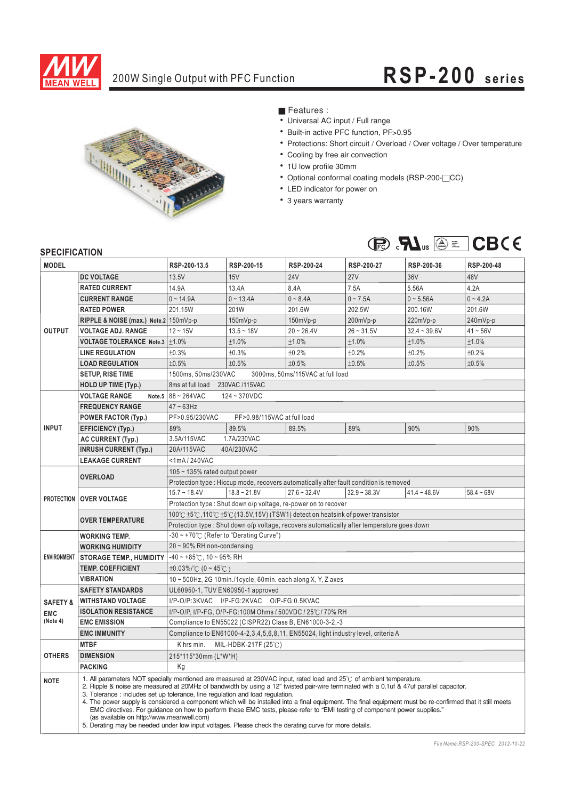

## 200W Single Output with PFC Function **RSP-20 0 s eries**



■ Features :

- Universal AC input / Full range
- Built-in active PFC function, PF>0.95
- Protections: Short circuit / Overload / Over voltage / Over temperature
- Cooling by free air convection
- 1U low profile 30mm
- Optional conformal coating models (RSP-200-<sup>CC</sup>)
- ¡E¡E¡E¡E¡E¡E¡E¡E LED indicator for power on
- 3 years warranty



### **SPECIFICATION**

| <b>JELUIFIUAI IUN</b><br><b>MODEL</b> |                                                                                                                                                                                                                                                                                                                                                                                                                                                                                                                                                                                                                                                                                                                                                                                                    | RSP-200-13.5                                                                                | RSP-200-15                                | RSP-200-24     | RSP-200-27                                                                            | RSP-200-36     | RSP-200-48   |  |  |  |
|---------------------------------------|----------------------------------------------------------------------------------------------------------------------------------------------------------------------------------------------------------------------------------------------------------------------------------------------------------------------------------------------------------------------------------------------------------------------------------------------------------------------------------------------------------------------------------------------------------------------------------------------------------------------------------------------------------------------------------------------------------------------------------------------------------------------------------------------------|---------------------------------------------------------------------------------------------|-------------------------------------------|----------------|---------------------------------------------------------------------------------------|----------------|--------------|--|--|--|
|                                       | <b>DC VOLTAGE</b>                                                                                                                                                                                                                                                                                                                                                                                                                                                                                                                                                                                                                                                                                                                                                                                  | 13.5V                                                                                       | 15V                                       | <b>24V</b>     | <b>27V</b>                                                                            | 36V            | 48V          |  |  |  |
| <b>OUTPUT</b>                         | <b>RATED CURRENT</b>                                                                                                                                                                                                                                                                                                                                                                                                                                                                                                                                                                                                                                                                                                                                                                               | 14.9A                                                                                       | 13.4A                                     | 8.4A           | 7.5A                                                                                  | 5.56A          | 4.2A         |  |  |  |
|                                       | <b>CURRENT RANGE</b>                                                                                                                                                                                                                                                                                                                                                                                                                                                                                                                                                                                                                                                                                                                                                                               | $0 - 14.9A$                                                                                 | $0 - 13.4A$                               | $0 - 8.4A$     | $0 - 7.5A$                                                                            | $0 - 5.56A$    | $0 - 4.2A$   |  |  |  |
|                                       | <b>RATED POWER</b>                                                                                                                                                                                                                                                                                                                                                                                                                                                                                                                                                                                                                                                                                                                                                                                 | 201.15W                                                                                     | 201W                                      | 201.6W         | 202.5W                                                                                | 200.16W        | 201.6W       |  |  |  |
|                                       | RIPPLE & NOISE (max.) Note.2 150mVp-p                                                                                                                                                                                                                                                                                                                                                                                                                                                                                                                                                                                                                                                                                                                                                              |                                                                                             | 150mVp-p                                  | 150mVp-p       | 200mVp-p                                                                              | 220mVp-p       | 240mVp-p     |  |  |  |
|                                       | <b>VOLTAGE ADJ. RANGE</b>                                                                                                                                                                                                                                                                                                                                                                                                                                                                                                                                                                                                                                                                                                                                                                          | $12 - 15V$                                                                                  | $13.5 - 18V$                              | $20 - 26.4V$   | $26 - 31.5V$                                                                          | $32.4 - 39.6V$ | $41 - 56V$   |  |  |  |
|                                       | <b>VOLTAGE TOLERANCE Note.3</b>                                                                                                                                                                                                                                                                                                                                                                                                                                                                                                                                                                                                                                                                                                                                                                    | ±1.0%                                                                                       | ±1.0%                                     | ±1.0%          | ±1.0%                                                                                 | ±1.0%          | ±1.0%        |  |  |  |
|                                       | <b>LINE REGULATION</b>                                                                                                                                                                                                                                                                                                                                                                                                                                                                                                                                                                                                                                                                                                                                                                             | ±0.3%                                                                                       | ±0.3%                                     | ±0.2%          | ±0.2%                                                                                 | ±0.2%          | ±0.2%        |  |  |  |
|                                       | <b>LOAD REGULATION</b>                                                                                                                                                                                                                                                                                                                                                                                                                                                                                                                                                                                                                                                                                                                                                                             | ±0.5%                                                                                       | ±0.5%                                     | ±0.5%          | ±0.5%                                                                                 | ±0.5%          | ±0.5%        |  |  |  |
|                                       | <b>SETUP, RISE TIME</b>                                                                                                                                                                                                                                                                                                                                                                                                                                                                                                                                                                                                                                                                                                                                                                            | 1500ms, 50ms/230VAC<br>3000ms, 50ms/115VAC at full load                                     |                                           |                |                                                                                       |                |              |  |  |  |
|                                       | <b>HOLD UP TIME (Typ.)</b>                                                                                                                                                                                                                                                                                                                                                                                                                                                                                                                                                                                                                                                                                                                                                                         | 8ms at full load 230VAC /115VAC                                                             |                                           |                |                                                                                       |                |              |  |  |  |
|                                       | <b>VOLTAGE RANGE</b>                                                                                                                                                                                                                                                                                                                                                                                                                                                                                                                                                                                                                                                                                                                                                                               | Note.5 $88 - 264$ VAC<br>$124 - 370VDC$                                                     |                                           |                |                                                                                       |                |              |  |  |  |
|                                       | <b>FREQUENCY RANGE</b>                                                                                                                                                                                                                                                                                                                                                                                                                                                                                                                                                                                                                                                                                                                                                                             | $47 \sim 63$ Hz                                                                             |                                           |                |                                                                                       |                |              |  |  |  |
| <b>INPUT</b>                          | <b>POWER FACTOR (Typ.)</b>                                                                                                                                                                                                                                                                                                                                                                                                                                                                                                                                                                                                                                                                                                                                                                         | PF>0.95/230VAC<br>PF>0.98/115VAC at full load                                               |                                           |                |                                                                                       |                |              |  |  |  |
|                                       | <b>EFFICIENCY (Typ.)</b>                                                                                                                                                                                                                                                                                                                                                                                                                                                                                                                                                                                                                                                                                                                                                                           | 89%                                                                                         | 89.5%                                     | 89.5%          | 89%                                                                                   | 90%            | 90%          |  |  |  |
|                                       | AC CURRENT (Typ.)                                                                                                                                                                                                                                                                                                                                                                                                                                                                                                                                                                                                                                                                                                                                                                                  | 1.7A/230VAC<br>3.5A/115VAC                                                                  |                                           |                |                                                                                       |                |              |  |  |  |
|                                       | <b>INRUSH CURRENT (Typ.)</b>                                                                                                                                                                                                                                                                                                                                                                                                                                                                                                                                                                                                                                                                                                                                                                       | 20A/115VAC<br>40A/230VAC                                                                    |                                           |                |                                                                                       |                |              |  |  |  |
|                                       | <b>LEAKAGE CURRENT</b>                                                                                                                                                                                                                                                                                                                                                                                                                                                                                                                                                                                                                                                                                                                                                                             | <1mA/240VAC                                                                                 |                                           |                |                                                                                       |                |              |  |  |  |
|                                       | <b>OVERLOAD</b>                                                                                                                                                                                                                                                                                                                                                                                                                                                                                                                                                                                                                                                                                                                                                                                    | $105 \sim 135\%$ rated output power                                                         |                                           |                |                                                                                       |                |              |  |  |  |
|                                       |                                                                                                                                                                                                                                                                                                                                                                                                                                                                                                                                                                                                                                                                                                                                                                                                    |                                                                                             |                                           |                | Protection type: Hiccup mode, recovers automatically after fault condition is removed |                |              |  |  |  |
|                                       | <b>PROTECTION OVER VOLTAGE</b>                                                                                                                                                                                                                                                                                                                                                                                                                                                                                                                                                                                                                                                                                                                                                                     | $15.7 \sim 18.4V$                                                                           | $18.8 - 21.8V$                            | $27.6 - 32.4V$ | $32.9 - 38.3V$                                                                        | $41.4 - 48.6V$ | $58.4 - 68V$ |  |  |  |
|                                       |                                                                                                                                                                                                                                                                                                                                                                                                                                                                                                                                                                                                                                                                                                                                                                                                    | Protection type: Shut down o/p voltage, re-power on to recover                              |                                           |                |                                                                                       |                |              |  |  |  |
|                                       | <b>OVER TEMPERATURE</b>                                                                                                                                                                                                                                                                                                                                                                                                                                                                                                                                                                                                                                                                                                                                                                            | 100℃ ±5℃,110℃ ±5℃ (13.5V,15V) (TSW1) detect on heatsink of power transistor                 |                                           |                |                                                                                       |                |              |  |  |  |
|                                       |                                                                                                                                                                                                                                                                                                                                                                                                                                                                                                                                                                                                                                                                                                                                                                                                    | Protection type : Shut down o/p voltage, recovers automatically after temperature goes down |                                           |                |                                                                                       |                |              |  |  |  |
| <b>ENVIRONMENT</b>                    | <b>WORKING TEMP.</b>                                                                                                                                                                                                                                                                                                                                                                                                                                                                                                                                                                                                                                                                                                                                                                               | $-30 \sim +70^{\circ}$ (Refer to "Derating Curve")                                          |                                           |                |                                                                                       |                |              |  |  |  |
|                                       | <b>WORKING HUMIDITY</b>                                                                                                                                                                                                                                                                                                                                                                                                                                                                                                                                                                                                                                                                                                                                                                            | 20~90% RH non-condensing                                                                    |                                           |                |                                                                                       |                |              |  |  |  |
|                                       | <b>STORAGE TEMP., HUMIDITY</b>                                                                                                                                                                                                                                                                                                                                                                                                                                                                                                                                                                                                                                                                                                                                                                     | $-40 \sim +85^{\circ}$ C, 10 ~ 95% RH                                                       |                                           |                |                                                                                       |                |              |  |  |  |
|                                       | <b>TEMP. COEFFICIENT</b>                                                                                                                                                                                                                                                                                                                                                                                                                                                                                                                                                                                                                                                                                                                                                                           | $\pm 0.03\%$ (0 ~ 45°C)                                                                     |                                           |                |                                                                                       |                |              |  |  |  |
|                                       | <b>VIBRATION</b>                                                                                                                                                                                                                                                                                                                                                                                                                                                                                                                                                                                                                                                                                                                                                                                   | 10 ~ 500Hz, 2G 10min./1cycle, 60min. each along X, Y, Z axes                                |                                           |                |                                                                                       |                |              |  |  |  |
|                                       | <b>SAFETY STANDARDS</b>                                                                                                                                                                                                                                                                                                                                                                                                                                                                                                                                                                                                                                                                                                                                                                            | UL60950-1, TUV EN60950-1 approved                                                           |                                           |                |                                                                                       |                |              |  |  |  |
| <b>SAFETY &amp;</b>                   | <b>WITHSTAND VOLTAGE</b>                                                                                                                                                                                                                                                                                                                                                                                                                                                                                                                                                                                                                                                                                                                                                                           |                                                                                             | I/P-O/P:3KVAC I/P-FG:2KVAC O/P-FG:0.5KVAC |                |                                                                                       |                |              |  |  |  |
| <b>EMC</b>                            | <b>ISOLATION RESISTANCE</b><br>I/P-O/P, I/P-FG, O/P-FG:100M Ohms / 500VDC / 25℃/ 70% RH                                                                                                                                                                                                                                                                                                                                                                                                                                                                                                                                                                                                                                                                                                            |                                                                                             |                                           |                |                                                                                       |                |              |  |  |  |
| (Note 4)                              | <b>EMC EMISSION</b>                                                                                                                                                                                                                                                                                                                                                                                                                                                                                                                                                                                                                                                                                                                                                                                | Compliance to EN55022 (CISPR22) Class B, EN61000-3-2,-3                                     |                                           |                |                                                                                       |                |              |  |  |  |
|                                       | <b>EMC IMMUNITY</b>                                                                                                                                                                                                                                                                                                                                                                                                                                                                                                                                                                                                                                                                                                                                                                                | Compliance to EN61000-4-2,3,4,5,6,8,11, EN55024, light industry level, criteria A           |                                           |                |                                                                                       |                |              |  |  |  |
|                                       | <b>MTBF</b>                                                                                                                                                                                                                                                                                                                                                                                                                                                                                                                                                                                                                                                                                                                                                                                        | K hrs min.<br>MIL-HDBK-217F (25°C)                                                          |                                           |                |                                                                                       |                |              |  |  |  |
| <b>OTHERS</b>                         | <b>DIMENSION</b>                                                                                                                                                                                                                                                                                                                                                                                                                                                                                                                                                                                                                                                                                                                                                                                   | 215*115*30mm (L*W*H)                                                                        |                                           |                |                                                                                       |                |              |  |  |  |
|                                       | <b>PACKING</b>                                                                                                                                                                                                                                                                                                                                                                                                                                                                                                                                                                                                                                                                                                                                                                                     | Kg                                                                                          |                                           |                |                                                                                       |                |              |  |  |  |
| <b>NOTE</b>                           | 1. All parameters NOT specially mentioned are measured at 230VAC input, rated load and 25°C of ambient temperature.<br>2. Ripple & noise are measured at 20MHz of bandwidth by using a 12" twisted pair-wire terminated with a 0.1uf & 47uf parallel capacitor.<br>3. Tolerance: includes set up tolerance, line regulation and load regulation.<br>4. The power supply is considered a component which will be installed into a final equipment. The final equipment must be re-confirmed that it still meets<br>EMC directives. For quidance on how to perform these EMC tests, please refer to "EMI testing of component power supplies."<br>(as available on http://www.meanwell.com)<br>5. Derating may be needed under low input voltages. Please check the derating curve for more details. |                                                                                             |                                           |                |                                                                                       |                |              |  |  |  |